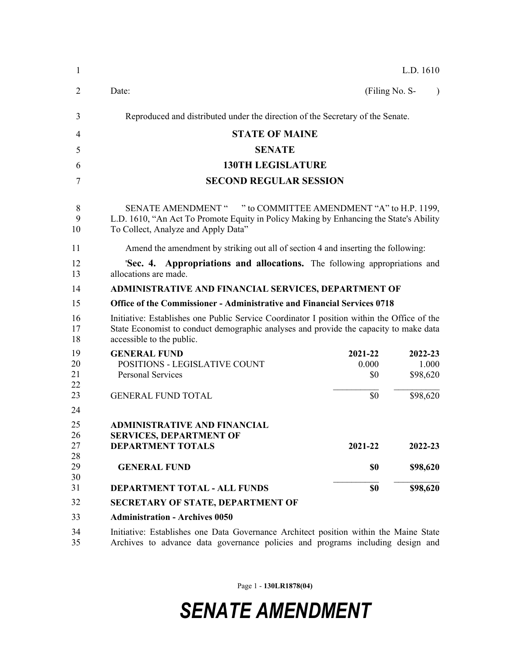| 1                    |                                                                                                                                                                                                                  |                         | L.D. 1610                    |           |  |  |
|----------------------|------------------------------------------------------------------------------------------------------------------------------------------------------------------------------------------------------------------|-------------------------|------------------------------|-----------|--|--|
| $\overline{2}$       | Date:                                                                                                                                                                                                            | (Filing No. S-          |                              | $\lambda$ |  |  |
| 3                    | Reproduced and distributed under the direction of the Secretary of the Senate.                                                                                                                                   |                         |                              |           |  |  |
| 4                    | <b>STATE OF MAINE</b>                                                                                                                                                                                            |                         |                              |           |  |  |
| 5                    | <b>SENATE</b>                                                                                                                                                                                                    |                         |                              |           |  |  |
| 6                    | <b>130TH LEGISLATURE</b>                                                                                                                                                                                         |                         |                              |           |  |  |
| 7                    | <b>SECOND REGULAR SESSION</b>                                                                                                                                                                                    |                         |                              |           |  |  |
| 8<br>9<br>10         | " to COMMITTEE AMENDMENT "A" to H.P. 1199,<br><b>SENATE AMENDMENT "</b><br>L.D. 1610, "An Act To Promote Equity in Policy Making by Enhancing the State's Ability<br>To Collect, Analyze and Apply Data"         |                         |                              |           |  |  |
| 11                   | Amend the amendment by striking out all of section 4 and inserting the following:                                                                                                                                |                         |                              |           |  |  |
| 12<br>13             | 'Sec. 4. Appropriations and allocations. The following appropriations and<br>allocations are made.                                                                                                               |                         |                              |           |  |  |
| 14                   | ADMINISTRATIVE AND FINANCIAL SERVICES, DEPARTMENT OF                                                                                                                                                             |                         |                              |           |  |  |
| 15                   | <b>Office of the Commissioner - Administrative and Financial Services 0718</b>                                                                                                                                   |                         |                              |           |  |  |
| 16<br>17<br>18       | Initiative: Establishes one Public Service Coordinator I position within the Office of the<br>State Economist to conduct demographic analyses and provide the capacity to make data<br>accessible to the public. |                         |                              |           |  |  |
| 19<br>20<br>21<br>22 | <b>GENERAL FUND</b><br>POSITIONS - LEGISLATIVE COUNT<br><b>Personal Services</b>                                                                                                                                 | 2021-22<br>0.000<br>\$0 | 2022-23<br>1.000<br>\$98,620 |           |  |  |
| 23                   | <b>GENERAL FUND TOTAL</b>                                                                                                                                                                                        | \$0                     | \$98,620                     |           |  |  |
| 24                   |                                                                                                                                                                                                                  |                         |                              |           |  |  |
| 25<br>26<br>27       | <b>ADMINISTRATIVE AND FINANCIAL</b><br><b>SERVICES, DEPARTMENT OF</b><br><b>DEPARTMENT TOTALS</b>                                                                                                                | 2021-22                 | 2022-23                      |           |  |  |
| 28<br>29<br>30       | <b>GENERAL FUND</b>                                                                                                                                                                                              | \$0                     | \$98,620                     |           |  |  |
| 31                   | DEPARTMENT TOTAL - ALL FUNDS                                                                                                                                                                                     | \$0                     | \$98,620                     |           |  |  |
| 32                   | <b>SECRETARY OF STATE, DEPARTMENT OF</b>                                                                                                                                                                         |                         |                              |           |  |  |
| 33                   | <b>Administration - Archives 0050</b>                                                                                                                                                                            |                         |                              |           |  |  |
| 34<br>35             | Initiative: Establishes one Data Governance Architect position within the Maine State<br>Archives to advance data governance policies and programs including design and                                          |                         |                              |           |  |  |

Page 1 - **130LR1878(04)**

*SENATE AMENDMENT*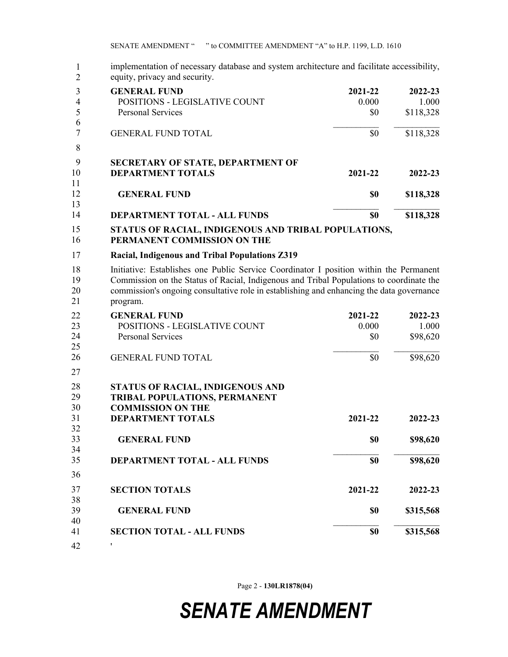| $\mathbf{1}$<br>$\overline{2}$ | implementation of necessary database and system architecture and facilitate accessibility,<br>equity, privacy and security.                                                                                                                                                               |         |           |  |  |
|--------------------------------|-------------------------------------------------------------------------------------------------------------------------------------------------------------------------------------------------------------------------------------------------------------------------------------------|---------|-----------|--|--|
| 3                              | <b>GENERAL FUND</b>                                                                                                                                                                                                                                                                       | 2021-22 | 2022-23   |  |  |
| $\overline{4}$                 | POSITIONS - LEGISLATIVE COUNT                                                                                                                                                                                                                                                             | 0.000   | 1.000     |  |  |
| 5                              | <b>Personal Services</b>                                                                                                                                                                                                                                                                  | \$0     | \$118,328 |  |  |
| 6<br>$\tau$                    | <b>GENERAL FUND TOTAL</b>                                                                                                                                                                                                                                                                 | \$0     | \$118,328 |  |  |
| 8                              |                                                                                                                                                                                                                                                                                           |         |           |  |  |
| 9                              | SECRETARY OF STATE, DEPARTMENT OF                                                                                                                                                                                                                                                         |         |           |  |  |
| 10<br>11                       | <b>DEPARTMENT TOTALS</b>                                                                                                                                                                                                                                                                  | 2021-22 | 2022-23   |  |  |
| 12                             | <b>GENERAL FUND</b>                                                                                                                                                                                                                                                                       | \$0     | \$118,328 |  |  |
| 13<br>14                       | <b>DEPARTMENT TOTAL - ALL FUNDS</b>                                                                                                                                                                                                                                                       | \$0     | \$118,328 |  |  |
| 15<br>16                       | STATUS OF RACIAL, INDIGENOUS AND TRIBAL POPULATIONS,<br>PERMANENT COMMISSION ON THE                                                                                                                                                                                                       |         |           |  |  |
| 17                             | Racial, Indigenous and Tribal Populations Z319                                                                                                                                                                                                                                            |         |           |  |  |
| 18<br>19<br>20<br>21           | Initiative: Establishes one Public Service Coordinator I position within the Permanent<br>Commission on the Status of Racial, Indigenous and Tribal Populations to coordinate the<br>commission's ongoing consultative role in establishing and enhancing the data governance<br>program. |         |           |  |  |
| 22                             | <b>GENERAL FUND</b>                                                                                                                                                                                                                                                                       | 2021-22 | 2022-23   |  |  |
| 23                             | POSITIONS - LEGISLATIVE COUNT                                                                                                                                                                                                                                                             | 0.000   | 1.000     |  |  |
| 24<br>25                       | <b>Personal Services</b>                                                                                                                                                                                                                                                                  | \$0     | \$98,620  |  |  |
| 26                             | <b>GENERAL FUND TOTAL</b>                                                                                                                                                                                                                                                                 | \$0     | \$98,620  |  |  |
| 27                             |                                                                                                                                                                                                                                                                                           |         |           |  |  |
| 28                             | STATUS OF RACIAL, INDIGENOUS AND                                                                                                                                                                                                                                                          |         |           |  |  |
| 29                             | TRIBAL POPULATIONS, PERMANENT                                                                                                                                                                                                                                                             |         |           |  |  |
| 30                             | <b>COMMISSION ON THE</b>                                                                                                                                                                                                                                                                  |         |           |  |  |
| 31<br>32                       | <b>DEPARTMENT TOTALS</b>                                                                                                                                                                                                                                                                  | 2021-22 | 2022-23   |  |  |
| 33                             | <b>GENERAL FUND</b>                                                                                                                                                                                                                                                                       | \$0     | \$98,620  |  |  |
| 34                             |                                                                                                                                                                                                                                                                                           |         |           |  |  |
| 35                             | DEPARTMENT TOTAL - ALL FUNDS                                                                                                                                                                                                                                                              | \$0     | \$98,620  |  |  |
| 36                             |                                                                                                                                                                                                                                                                                           |         |           |  |  |
| 37                             | <b>SECTION TOTALS</b>                                                                                                                                                                                                                                                                     | 2021-22 | 2022-23   |  |  |
| 38                             |                                                                                                                                                                                                                                                                                           |         |           |  |  |
| 39                             | <b>GENERAL FUND</b>                                                                                                                                                                                                                                                                       | \$0     | \$315,568 |  |  |
| 40                             |                                                                                                                                                                                                                                                                                           |         |           |  |  |
| 41                             | <b>SECTION TOTAL - ALL FUNDS</b>                                                                                                                                                                                                                                                          | \$0     | \$315,568 |  |  |
| 42                             | ,                                                                                                                                                                                                                                                                                         |         |           |  |  |

Page 2 - **130LR1878(04)**

## *SENATE AMENDMENT*